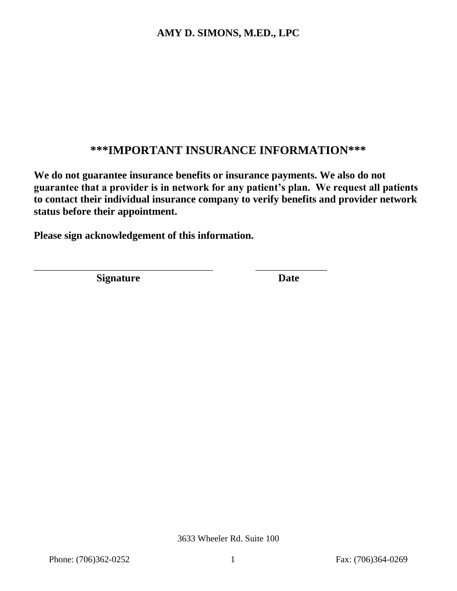# **\*\*\*IMPORTANT INSURANCE INFORMATION\*\*\***

**We do not guarantee insurance benefits or insurance payments. We also do not guarantee that a provider is in network for any patient's plan. We request all patients to contact their individual insurance company to verify benefits and provider network status before their appointment.** 

**Please sign acknowledgement of this information.**

\_\_\_\_\_\_\_\_\_\_\_\_\_\_\_\_\_\_\_\_\_\_\_\_\_\_\_\_\_\_\_\_\_\_\_\_\_\_\_\_ \_\_\_\_\_\_\_\_\_\_\_\_\_\_\_\_

**Signature** Date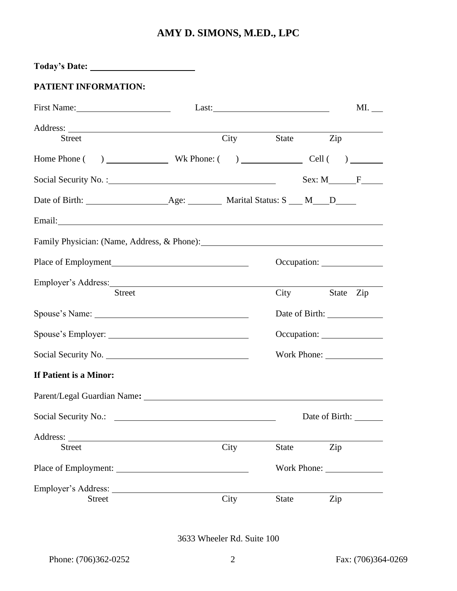| PATIENT INFORMATION:                                                                                                                                                                                                                 |                                                                                                                      |            |              |                         |                     |
|--------------------------------------------------------------------------------------------------------------------------------------------------------------------------------------------------------------------------------------|----------------------------------------------------------------------------------------------------------------------|------------|--------------|-------------------------|---------------------|
|                                                                                                                                                                                                                                      |                                                                                                                      |            |              |                         | $ML$ <sub>___</sub> |
| Street                                                                                                                                                                                                                               |                                                                                                                      | City State |              | Zip                     |                     |
|                                                                                                                                                                                                                                      |                                                                                                                      |            |              |                         |                     |
|                                                                                                                                                                                                                                      |                                                                                                                      |            |              |                         |                     |
|                                                                                                                                                                                                                                      |                                                                                                                      |            |              |                         |                     |
|                                                                                                                                                                                                                                      |                                                                                                                      |            |              |                         |                     |
| Email: <u>Constantino and Constantino and Constantino and Constantino and Constantino and Constantino and Constantino and Constantino and Constantino and Constantino and Constantino and Constantino and Constantino and Consta</u> |                                                                                                                      |            |              |                         |                     |
| Family Physician: (Name, Address, & Phone): 2008. [2010] [2010] [2010] [2010] [2010] [2010] [2010] [2010] [2010] [2010] [2010] [2010] [2010] [2010] [2010] [2010] [2010] [2010] [2010] [2010] [2010] [2010] [2010] [2010] [201       |                                                                                                                      |            |              |                         |                     |
|                                                                                                                                                                                                                                      |                                                                                                                      |            |              |                         |                     |
|                                                                                                                                                                                                                                      |                                                                                                                      |            |              |                         |                     |
| <b>Street</b>                                                                                                                                                                                                                        |                                                                                                                      |            |              | City                    | State Zip           |
|                                                                                                                                                                                                                                      |                                                                                                                      |            |              |                         |                     |
|                                                                                                                                                                                                                                      |                                                                                                                      |            |              |                         |                     |
|                                                                                                                                                                                                                                      |                                                                                                                      |            |              |                         |                     |
| If Patient is a Minor:                                                                                                                                                                                                               |                                                                                                                      |            |              |                         |                     |
|                                                                                                                                                                                                                                      |                                                                                                                      |            |              |                         |                     |
| Social Security No.:                                                                                                                                                                                                                 | <u> 1989 - Jan Sterlinger, skriuwer fan it ferstjer fan it ferstjer fan it ferstjer fan it ferstjer fan it ferst</u> |            |              | Date of Birth: ________ |                     |
|                                                                                                                                                                                                                                      |                                                                                                                      |            |              |                         |                     |
| <b>Street</b>                                                                                                                                                                                                                        |                                                                                                                      | City       | State        | Zip                     |                     |
|                                                                                                                                                                                                                                      |                                                                                                                      |            |              |                         |                     |
|                                                                                                                                                                                                                                      |                                                                                                                      |            |              |                         |                     |
| <b>Street</b>                                                                                                                                                                                                                        |                                                                                                                      | City       | <b>State</b> | Zip                     |                     |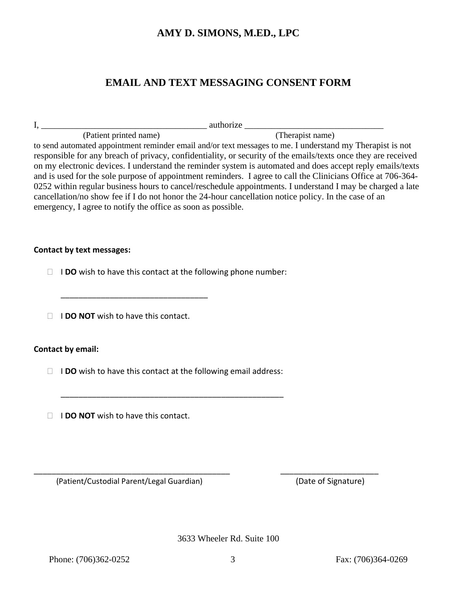### **EMAIL AND TEXT MESSAGING CONSENT FORM**

|                                  |                                                               | authorize                                                                                                                                                                                                                                                                                                                                                                                                                                                                                                                                                                                                                                                                       |  |  |  |  |
|----------------------------------|---------------------------------------------------------------|---------------------------------------------------------------------------------------------------------------------------------------------------------------------------------------------------------------------------------------------------------------------------------------------------------------------------------------------------------------------------------------------------------------------------------------------------------------------------------------------------------------------------------------------------------------------------------------------------------------------------------------------------------------------------------|--|--|--|--|
|                                  | (Patient printed name)                                        | (Therapist name)                                                                                                                                                                                                                                                                                                                                                                                                                                                                                                                                                                                                                                                                |  |  |  |  |
|                                  | emergency, I agree to notify the office as soon as possible.  | to send automated appointment reminder email and/or text messages to me. I understand my Therapist is not<br>responsible for any breach of privacy, confidentiality, or security of the emails/texts once they are received<br>on my electronic devices. I understand the reminder system is automated and does accept reply emails/texts<br>and is used for the sole purpose of appointment reminders. I agree to call the Clinicians Office at 706-364-<br>0252 within regular business hours to cancel/reschedule appointments. I understand I may be charged a late<br>cancellation/no show fee if I do not honor the 24-hour cancellation notice policy. In the case of an |  |  |  |  |
| <b>Contact by text messages:</b> |                                                               |                                                                                                                                                                                                                                                                                                                                                                                                                                                                                                                                                                                                                                                                                 |  |  |  |  |
|                                  | I DO wish to have this contact at the following phone number: |                                                                                                                                                                                                                                                                                                                                                                                                                                                                                                                                                                                                                                                                                 |  |  |  |  |
|                                  | <b>DO NOT</b> wish to have this contact.                      |                                                                                                                                                                                                                                                                                                                                                                                                                                                                                                                                                                                                                                                                                 |  |  |  |  |

### **Contact by email:**

I **DO** wish to have this contact at the following email address:

\_\_\_\_\_\_\_\_\_\_\_\_\_\_\_\_\_\_\_\_\_\_\_\_\_\_\_\_\_\_\_\_\_\_\_\_\_\_\_\_\_\_\_\_\_\_\_\_\_\_

**IDO NOT** wish to have this contact.

(Patient/Custodial Parent/Legal Guardian) (Date of Signature)

3633 Wheeler Rd. Suite 100

\_\_\_\_\_\_\_\_\_\_\_\_\_\_\_\_\_\_\_\_\_\_\_\_\_\_\_\_\_\_\_\_\_\_\_\_\_\_\_\_\_\_\_\_ \_\_\_\_\_\_\_\_\_\_\_\_\_\_\_\_\_\_\_\_\_\_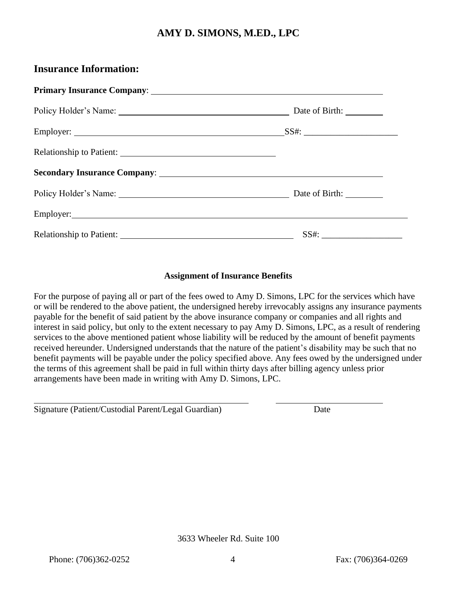### **Insurance Information:**

| Policy Holder's Name: Date of Birth: Date of Birth: |  |
|-----------------------------------------------------|--|
|                                                     |  |
|                                                     |  |
|                                                     |  |
| Policy Holder's Name: Date of Birth: Date of Birth: |  |
|                                                     |  |
|                                                     |  |

### **Assignment of Insurance Benefits**

For the purpose of paying all or part of the fees owed to Amy D. Simons, LPC for the services which have or will be rendered to the above patient, the undersigned hereby irrevocably assigns any insurance payments payable for the benefit of said patient by the above insurance company or companies and all rights and interest in said policy, but only to the extent necessary to pay Amy D. Simons, LPC, as a result of rendering services to the above mentioned patient whose liability will be reduced by the amount of benefit payments received hereunder. Undersigned understands that the nature of the patient's disability may be such that no benefit payments will be payable under the policy specified above. Any fees owed by the undersigned under the terms of this agreement shall be paid in full within thirty days after billing agency unless prior arrangements have been made in writing with Amy D. Simons, LPC.

| Signature (Patient/Custodial Parent/Legal Guardian) | Date |
|-----------------------------------------------------|------|
|-----------------------------------------------------|------|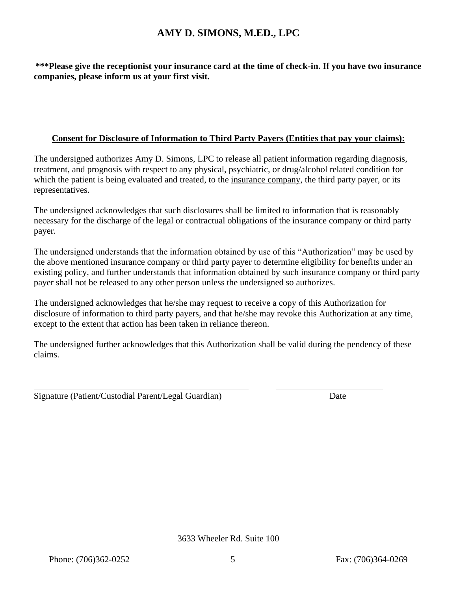**\*\*\*Please give the receptionist your insurance card at the time of check-in. If you have two insurance companies, please inform us at your first visit.**

### **Consent for Disclosure of Information to Third Party Payers (Entities that pay your claims):**

The undersigned authorizes Amy D. Simons, LPC to release all patient information regarding diagnosis, treatment, and prognosis with respect to any physical, psychiatric, or drug/alcohol related condition for which the patient is being evaluated and treated, to the insurance company, the third party payer, or its representatives.

The undersigned acknowledges that such disclosures shall be limited to information that is reasonably necessary for the discharge of the legal or contractual obligations of the insurance company or third party payer.

The undersigned understands that the information obtained by use of this "Authorization" may be used by the above mentioned insurance company or third party payer to determine eligibility for benefits under an existing policy, and further understands that information obtained by such insurance company or third party payer shall not be released to any other person unless the undersigned so authorizes.

The undersigned acknowledges that he/she may request to receive a copy of this Authorization for disclosure of information to third party payers, and that he/she may revoke this Authorization at any time, except to the extent that action has been taken in reliance thereon.

The undersigned further acknowledges that this Authorization shall be valid during the pendency of these claims.

Signature (Patient/Custodial Parent/Legal Guardian) Date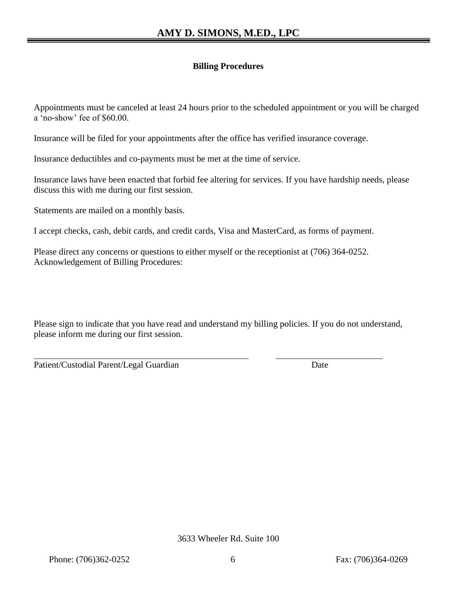### **Billing Procedures**

Appointments must be canceled at least 24 hours prior to the scheduled appointment or you will be charged a 'no-show' fee of \$60.00.

Insurance will be filed for your appointments after the office has verified insurance coverage.

Insurance deductibles and co-payments must be met at the time of service.

Insurance laws have been enacted that forbid fee altering for services. If you have hardship needs, please discuss this with me during our first session.

Statements are mailed on a monthly basis.

I accept checks, cash, debit cards, and credit cards, Visa and MasterCard, as forms of payment.

Please direct any concerns or questions to either myself or the receptionist at (706) 364-0252. Acknowledgement of Billing Procedures:

Please sign to indicate that you have read and understand my billing policies. If you do not understand, please inform me during our first session.

Patient/Custodial Parent/Legal Guardian Date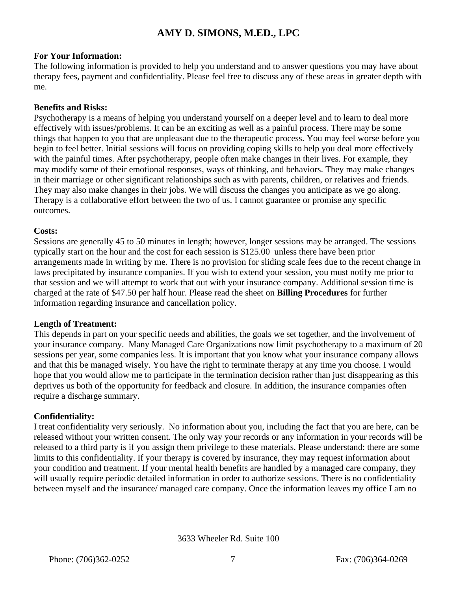### **For Your Information:**

The following information is provided to help you understand and to answer questions you may have about therapy fees, payment and confidentiality. Please feel free to discuss any of these areas in greater depth with me.

#### **Benefits and Risks:**

Psychotherapy is a means of helping you understand yourself on a deeper level and to learn to deal more effectively with issues/problems. It can be an exciting as well as a painful process. There may be some things that happen to you that are unpleasant due to the therapeutic process. You may feel worse before you begin to feel better. Initial sessions will focus on providing coping skills to help you deal more effectively with the painful times. After psychotherapy, people often make changes in their lives. For example, they may modify some of their emotional responses, ways of thinking, and behaviors. They may make changes in their marriage or other significant relationships such as with parents, children, or relatives and friends. They may also make changes in their jobs. We will discuss the changes you anticipate as we go along. Therapy is a collaborative effort between the two of us. I cannot guarantee or promise any specific outcomes.

#### **Costs:**

Sessions are generally 45 to 50 minutes in length; however, longer sessions may be arranged. The sessions typically start on the hour and the cost for each session is \$125.00 unless there have been prior arrangements made in writing by me. There is no provision for sliding scale fees due to the recent change in laws precipitated by insurance companies. If you wish to extend your session, you must notify me prior to that session and we will attempt to work that out with your insurance company. Additional session time is charged at the rate of \$47.50 per half hour. Please read the sheet on **Billing Procedures** for further information regarding insurance and cancellation policy.

### **Length of Treatment:**

This depends in part on your specific needs and abilities, the goals we set together, and the involvement of your insurance company. Many Managed Care Organizations now limit psychotherapy to a maximum of 20 sessions per year, some companies less. It is important that you know what your insurance company allows and that this be managed wisely. You have the right to terminate therapy at any time you choose. I would hope that you would allow me to participate in the termination decision rather than just disappearing as this deprives us both of the opportunity for feedback and closure. In addition, the insurance companies often require a discharge summary.

### **Confidentiality:**

I treat confidentiality very seriously. No information about you, including the fact that you are here, can be released without your written consent. The only way your records or any information in your records will be released to a third party is if you assign them privilege to these materials. Please understand: there are some limits to this confidentiality. If your therapy is covered by insurance, they may request information about your condition and treatment. If your mental health benefits are handled by a managed care company, they will usually require periodic detailed information in order to authorize sessions. There is no confidentiality between myself and the insurance/ managed care company. Once the information leaves my office I am no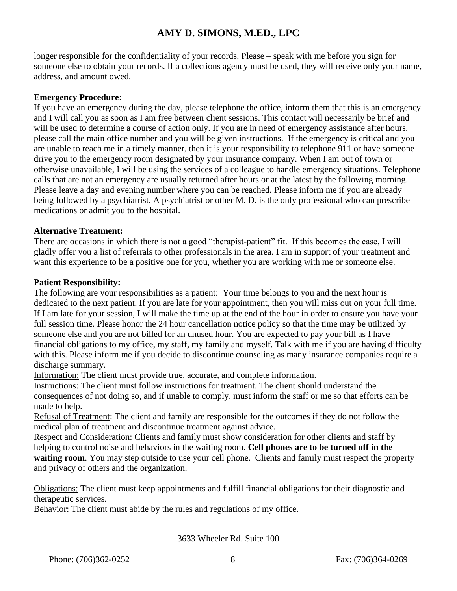longer responsible for the confidentiality of your records. Please – speak with me before you sign for someone else to obtain your records. If a collections agency must be used, they will receive only your name, address, and amount owed.

#### **Emergency Procedure:**

If you have an emergency during the day, please telephone the office, inform them that this is an emergency and I will call you as soon as I am free between client sessions. This contact will necessarily be brief and will be used to determine a course of action only. If you are in need of emergency assistance after hours, please call the main office number and you will be given instructions. If the emergency is critical and you are unable to reach me in a timely manner, then it is your responsibility to telephone 911 or have someone drive you to the emergency room designated by your insurance company. When I am out of town or otherwise unavailable, I will be using the services of a colleague to handle emergency situations. Telephone calls that are not an emergency are usually returned after hours or at the latest by the following morning. Please leave a day and evening number where you can be reached. Please inform me if you are already being followed by a psychiatrist. A psychiatrist or other M. D. is the only professional who can prescribe medications or admit you to the hospital.

### **Alternative Treatment:**

There are occasions in which there is not a good "therapist-patient" fit. If this becomes the case, I will gladly offer you a list of referrals to other professionals in the area. I am in support of your treatment and want this experience to be a positive one for you, whether you are working with me or someone else.

### **Patient Responsibility:**

The following are your responsibilities as a patient: Your time belongs to you and the next hour is dedicated to the next patient. If you are late for your appointment, then you will miss out on your full time. If I am late for your session, I will make the time up at the end of the hour in order to ensure you have your full session time. Please honor the 24 hour cancellation notice policy so that the time may be utilized by someone else and you are not billed for an unused hour. You are expected to pay your bill as I have financial obligations to my office, my staff, my family and myself. Talk with me if you are having difficulty with this. Please inform me if you decide to discontinue counseling as many insurance companies require a discharge summary.

Information: The client must provide true, accurate, and complete information.

Instructions: The client must follow instructions for treatment. The client should understand the consequences of not doing so, and if unable to comply, must inform the staff or me so that efforts can be made to help.

Refusal of Treatment: The client and family are responsible for the outcomes if they do not follow the medical plan of treatment and discontinue treatment against advice.

Respect and Consideration: Clients and family must show consideration for other clients and staff by helping to control noise and behaviors in the waiting room. **Cell phones are to be turned off in the waiting room**. You may step outside to use your cell phone. Clients and family must respect the property and privacy of others and the organization.

Obligations: The client must keep appointments and fulfill financial obligations for their diagnostic and therapeutic services.

Behavior: The client must abide by the rules and regulations of my office.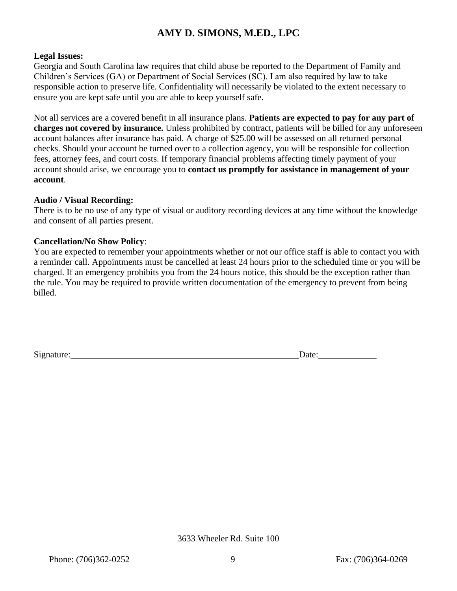### **Legal Issues:**

Georgia and South Carolina law requires that child abuse be reported to the Department of Family and Children's Services (GA) or Department of Social Services (SC). I am also required by law to take responsible action to preserve life. Confidentiality will necessarily be violated to the extent necessary to ensure you are kept safe until you are able to keep yourself safe.

Not all services are a covered benefit in all insurance plans. **Patients are expected to pay for any part of charges not covered by insurance.** Unless prohibited by contract, patients will be billed for any unforeseen account balances after insurance has paid. A charge of \$25.00 will be assessed on all returned personal checks. Should your account be turned over to a collection agency, you will be responsible for collection fees, attorney fees, and court costs. If temporary financial problems affecting timely payment of your account should arise, we encourage you to **contact us promptly for assistance in management of your account**.

#### **Audio / Visual Recording:**

There is to be no use of any type of visual or auditory recording devices at any time without the knowledge and consent of all parties present.

#### **Cancellation/No Show Policy**:

You are expected to remember your appointments whether or not our office staff is able to contact you with a reminder call. Appointments must be cancelled at least 24 hours prior to the scheduled time or you will be charged. If an emergency prohibits you from the 24 hours notice, this should be the exception rather than the rule. You may be required to provide written documentation of the emergency to prevent from being billed.

Signature:

| Date: |  |  |  |  |
|-------|--|--|--|--|
|       |  |  |  |  |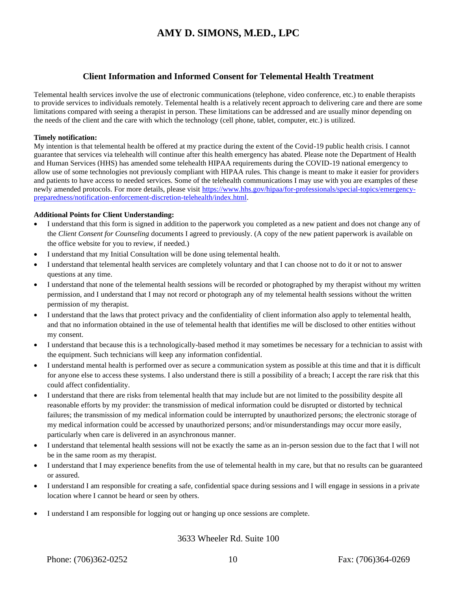#### **Client Information and Informed Consent for Telemental Health Treatment**

Telemental health services involve the use of electronic communications (telephone, video conference, etc.) to enable therapists to provide services to individuals remotely. Telemental health is a relatively recent approach to delivering care and there are some limitations compared with seeing a therapist in person. These limitations can be addressed and are usually minor depending on the needs of the client and the care with which the technology (cell phone, tablet, computer, etc.) is utilized.

#### **Timely notification:**

My intention is that telemental health be offered at my practice during the extent of the Covid-19 public health crisis. I cannot guarantee that services via telehealth will continue after this health emergency has abated. Please note the Department of Health and Human Services (HHS) has amended some telehealth HIPAA requirements during the COVID-19 national emergency to allow use of some technologies not previously compliant with HIPAA rules. This change is meant to make it easier for providers and patients to have access to needed services. Some of the telehealth communications I may use with you are examples of these newly amended protocols. For more details, please visit [https://www.hhs.gov/hipaa/for-professionals/special-topics/emergency](about:blank)[preparedness/notification-enforcement-discretion-telehealth/index.html.](about:blank)

#### **Additional Points for Client Understanding:**

- I understand that this form is signed in addition to the paperwork you completed as a new patient and does not change any of the *Client Consent for Counseling* documents I agreed to previously. (A copy of the new patient paperwork is available on the office website for you to review, if needed.)
- I understand that my Initial Consultation will be done using telemental health.
- I understand that telemental health services are completely voluntary and that I can choose not to do it or not to answer questions at any time.
- I understand that none of the telemental health sessions will be recorded or photographed by my therapist without my written permission, and I understand that I may not record or photograph any of my telemental health sessions without the written permission of my therapist.
- I understand that the laws that protect privacy and the confidentiality of client information also apply to telemental health, and that no information obtained in the use of telemental health that identifies me will be disclosed to other entities without my consent.
- I understand that because this is a technologically-based method it may sometimes be necessary for a technician to assist with the equipment. Such technicians will keep any information confidential.
- I understand mental health is performed over as secure a communication system as possible at this time and that it is difficult for anyone else to access these systems. I also understand there is still a possibility of a breach; I accept the rare risk that this could affect confidentiality.
- I understand that there are risks from telemental health that may include but are not limited to the possibility despite all reasonable efforts by my provider: the transmission of medical information could be disrupted or distorted by technical failures; the transmission of my medical information could be interrupted by unauthorized persons; the electronic storage of my medical information could be accessed by unauthorized persons; and/or misunderstandings may occur more easily, particularly when care is delivered in an asynchronous manner.
- I understand that telemental health sessions will not be exactly the same as an in-person session due to the fact that I will not be in the same room as my therapist.
- I understand that I may experience benefits from the use of telemental health in my care, but that no results can be guaranteed or assured.
- I understand I am responsible for creating a safe, confidential space during sessions and I will engage in sessions in a private location where I cannot be heard or seen by others.
- I understand I am responsible for logging out or hanging up once sessions are complete.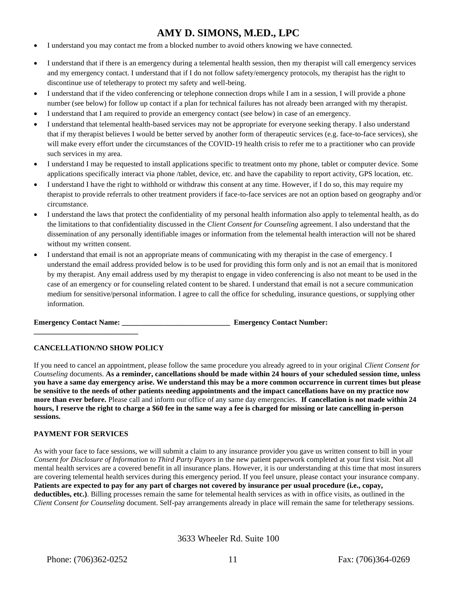- I understand you may contact me from a blocked number to avoid others knowing we have connected.
- I understand that if there is an emergency during a telemental health session, then my therapist will call emergency services and my emergency contact. I understand that if I do not follow safety/emergency protocols, my therapist has the right to discontinue use of teletherapy to protect my safety and well-being.
- I understand that if the video conferencing or telephone connection drops while I am in a session, I will provide a phone number (see below) for follow up contact if a plan for technical failures has not already been arranged with my therapist.
- I understand that I am required to provide an emergency contact (see below) in case of an emergency.
- I understand that telemental health-based services may not be appropriate for everyone seeking therapy. I also understand that if my therapist believes I would be better served by another form of therapeutic services (e.g. face-to-face services), she will make every effort under the circumstances of the COVID-19 health crisis to refer me to a practitioner who can provide such services in my area.
- I understand I may be requested to install applications specific to treatment onto my phone, tablet or computer device. Some applications specifically interact via phone /tablet, device, etc. and have the capability to report activity, GPS location, etc.
- I understand I have the right to withhold or withdraw this consent at any time. However, if I do so, this may require my therapist to provide referrals to other treatment providers if face-to-face services are not an option based on geography and/or circumstance.
- I understand the laws that protect the confidentiality of my personal health information also apply to telemental health, as do the limitations to that confidentiality discussed in the *Client Consent for Counseling* agreement. I also understand that the dissemination of any personally identifiable images or information from the telemental health interaction will not be shared without my written consent.
- I understand that email is not an appropriate means of communicating with my therapist in the case of emergency. I understand the email address provided below is to be used for providing this form only and is not an email that is monitored by my therapist. Any email address used by my therapist to engage in video conferencing is also not meant to be used in the case of an emergency or for counseling related content to be shared. I understand that email is not a secure communication medium for sensitive/personal information. I agree to call the office for scheduling, insurance questions, or supplying other information.

**Emergency Contact Name: Emergency Contact Number:** 

#### **CANCELLATION/NO SHOW POLICY**

**\_\_\_\_\_\_\_\_\_\_\_\_\_\_\_\_\_\_\_\_\_\_\_\_\_\_\_\_**

If you need to cancel an appointment, please follow the same procedure you already agreed to in your original *Client Consent for Counseling* documents. **As a reminder, cancellations should be made within 24 hours of your scheduled session time, unless you have a same day emergency arise. We understand this may be a more common occurrence in current times but please be sensitive to the needs of other patients needing appointments and the impact cancellations have on my practice now more than ever before.** Please call and inform our office of any same day emergencies. **If cancellation is not made within 24 hours, I reserve the right to charge a \$60 fee in the same way a fee is charged for missing or late cancelling in-person sessions.** 

#### **PAYMENT FOR SERVICES**

As with your face to face sessions, we will submit a claim to any insurance provider you gave us written consent to bill in your *Consent for Disclosure of Information to Third Party Payors* in the new patient paperwork completed at your first visit. Not all mental health services are a covered benefit in all insurance plans. However, it is our understanding at this time that most insurers are covering telemental health services during this emergency period. If you feel unsure, please contact your insurance company. **Patients are expected to pay for any part of charges not covered by insurance per usual procedure (i.e., copay, deductibles, etc.)**. Billing processes remain the same for telemental health services as with in office visits, as outlined in the *Client Consent for Counseling* document. Self-pay arrangements already in place will remain the same for teletherapy sessions.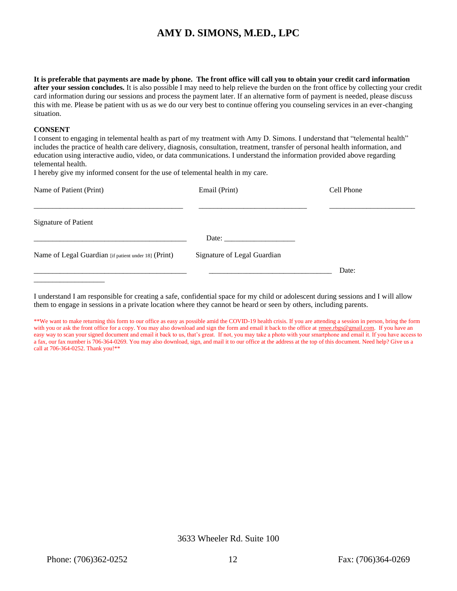**It is preferable that payments are made by phone. The front office will call you to obtain your credit card information after your session concludes.** It is also possible I may need to help relieve the burden on the front office by collecting your credit card information during our sessions and process the payment later. If an alternative form of payment is needed, please discuss this with me. Please be patient with us as we do our very best to continue offering you counseling services in an ever-changing situation.

#### **CONSENT**

I consent to engaging in telemental health as part of my treatment with Amy D. Simons. I understand that "telemental health" includes the practice of health care delivery, diagnosis, consultation, treatment, transfer of personal health information, and education using interactive audio, video, or data communications. I understand the information provided above regarding telemental health.

I hereby give my informed consent for the use of telemental health in my care.

| Name of Patient (Print)                              | Email (Print)                                                                                                                                                                                                                  | Cell Phone |
|------------------------------------------------------|--------------------------------------------------------------------------------------------------------------------------------------------------------------------------------------------------------------------------------|------------|
| <b>Signature of Patient</b>                          |                                                                                                                                                                                                                                |            |
|                                                      | Date: the contract of the contract of the contract of the contract of the contract of the contract of the contract of the contract of the contract of the contract of the contract of the contract of the contract of the cont |            |
| Name of Legal Guardian [if patient under 18] (Print) | Signature of Legal Guardian                                                                                                                                                                                                    |            |
|                                                      |                                                                                                                                                                                                                                | Date:      |

I understand I am responsible for creating a safe, confidential space for my child or adolescent during sessions and I will allow them to engage in sessions in a private location where they cannot be heard or seen by others, including parents.

\*\*We want to make returning this form to our office as easy as possible amid the COVID-19 health crisis. If you are attending a session in person, bring the form with you or ask the front office for a copy. You may also download and sign the form and email it back to the office at [renee.rbgs@gmail.com.](about:blank) If you have an easy way to scan your signed document and email it back to us, that's great. If not, you may take a photo with your smartphone and email it. If you have access to a fax, our fax number is 706-364-0269. You may also download, sign, and mail it to our office at the address at the top of this document. Need help? Give us a call at 706-364-0252. Thank you!\*\*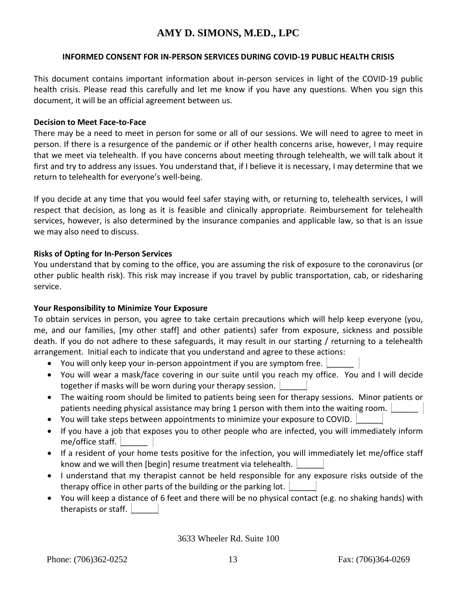#### **INFORMED CONSENT FOR IN-PERSON SERVICES DURING COVID-19 PUBLIC HEALTH CRISIS**

This document contains important information about in-person services in light of the COVID-19 public health crisis. Please read this carefully and let me know if you have any questions. When you sign this document, it will be an official agreement between us.

#### **Decision to Meet Face-to-Face**

There may be a need to meet in person for some or all of our sessions. We will need to agree to meet in person. If there is a resurgence of the pandemic or if other health concerns arise, however, I may require that we meet via telehealth. If you have concerns about meeting through telehealth, we will talk about it first and try to address any issues. You understand that, if I believe it is necessary, I may determine that we return to telehealth for everyone's well-being.

If you decide at any time that you would feel safer staying with, or returning to, telehealth services, I will respect that decision, as long as it is feasible and clinically appropriate. Reimbursement for telehealth services, however, is also determined by the insurance companies and applicable law, so that is an issue we may also need to discuss.

### **Risks of Opting for In-Person Services**

You understand that by coming to the office, you are assuming the risk of exposure to the coronavirus (or other public health risk). This risk may increase if you travel by public transportation, cab, or ridesharing service.

### **Your Responsibility to Minimize Your Exposure**

To obtain services in person, you agree to take certain precautions which will help keep everyone (you, me, and our families, [my other staff] and other patients) safer from exposure, sickness and possible death. If you do not adhere to these safeguards, it may result in our starting / returning to a telehealth arrangement. Initial each to indicate that you understand and agree to these actions:

- You will only keep your in-person appointment if you are symptom free.
- You will wear a mask/face covering in our suite until you reach my office. You and I will decide together if masks will be worn during your therapy session.
- The waiting room should be limited to patients being seen for therapy sessions. Minor patients or patients needing physical assistance may bring 1 person with them into the waiting room.
- You will take steps between appointments to minimize your exposure to COVID. \_\_\_\_\_\_
- If you have a job that exposes you to other people who are infected, you will immediately inform me/office staff.  $\vert$
- If a resident of your home tests positive for the infection, you will immediately let me/office staff know and we will then [begin] resume treatment via telehealth.  $\vert$
- I understand that my therapist cannot be held responsible for any exposure risks outside of the therapy office in other parts of the building or the parking lot.
- You will keep a distance of 6 feet and there will be no physical contact (e.g. no shaking hands) with therapists or staff.  $\vert$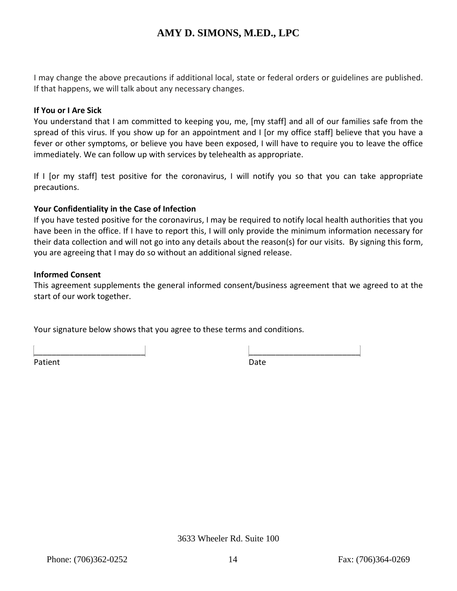I may change the above precautions if additional local, state or federal orders or guidelines are published. If that happens, we will talk about any necessary changes.

### **If You or I Are Sick**

You understand that I am committed to keeping you, me, [my staff] and all of our families safe from the spread of this virus. If you show up for an appointment and I [or my office staff] believe that you have a fever or other symptoms, or believe you have been exposed, I will have to require you to leave the office immediately. We can follow up with services by telehealth as appropriate.

If I [or my staff] test positive for the coronavirus, I will notify you so that you can take appropriate precautions.

#### **Your Confidentiality in the Case of Infection**

If you have tested positive for the coronavirus, I may be required to notify local health authorities that you have been in the office. If I have to report this, I will only provide the minimum information necessary for their data collection and will not go into any details about the reason(s) for our visits. By signing this form, you are agreeing that I may do so without an additional signed release.

#### **Informed Consent**

This agreement supplements the general informed consent/business agreement that we agreed to at the start of our work together.

Your signature below shows that you agree to these terms and conditions.

Patient Date Date Communications and Date Date

\_\_\_\_\_\_\_\_\_\_\_\_\_\_\_\_\_\_\_\_\_\_\_\_\_ \_\_\_\_\_\_\_\_\_\_\_\_\_\_\_\_\_\_\_\_\_\_\_\_\_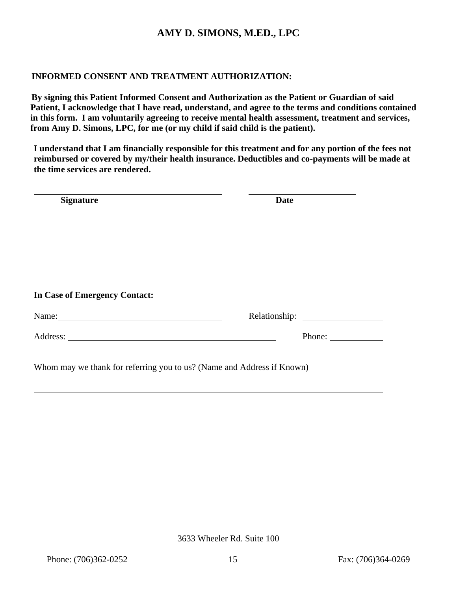### **INFORMED CONSENT AND TREATMENT AUTHORIZATION:**

 **By signing this Patient Informed Consent and Authorization as the Patient or Guardian of said Patient, I acknowledge that I have read, understand, and agree to the terms and conditions contained in this form. I am voluntarily agreeing to receive mental health assessment, treatment and services, from Amy D. Simons, LPC, for me (or my child if said child is the patient).**

**I understand that I am financially responsible for this treatment and for any portion of the fees not reimbursed or covered by my/their health insurance. Deductibles and co-payments will be made at the time services are rendered.**

| Phone:                                                                 |
|------------------------------------------------------------------------|
| Whom may we thank for referring you to us? (Name and Address if Known) |